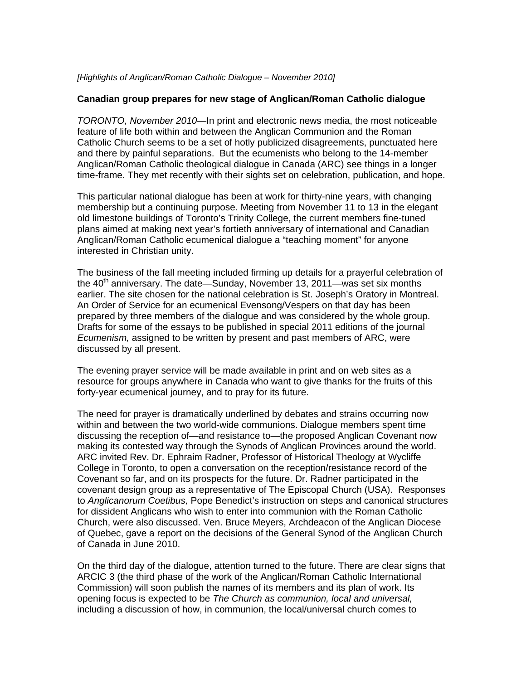## *[Highlights of Anglican/Roman Catholic Dialogue – November 2010]*

## **Canadian group prepares for new stage of Anglican/Roman Catholic dialogue**

*TORONTO, November 2010—*In print and electronic news media, the most noticeable feature of life both within and between the Anglican Communion and the Roman Catholic Church seems to be a set of hotly publicized disagreements, punctuated here and there by painful separations. But the ecumenists who belong to the 14-member Anglican/Roman Catholic theological dialogue in Canada (ARC) see things in a longer time-frame. They met recently with their sights set on celebration, publication, and hope.

This particular national dialogue has been at work for thirty-nine years, with changing membership but a continuing purpose. Meeting from November 11 to 13 in the elegant old limestone buildings of Toronto's Trinity College, the current members fine-tuned plans aimed at making next year's fortieth anniversary of international and Canadian Anglican/Roman Catholic ecumenical dialogue a "teaching moment" for anyone interested in Christian unity.

The business of the fall meeting included firming up details for a prayerful celebration of the  $40<sup>th</sup>$  anniversary. The date—Sunday, November 13, 2011—was set six months earlier. The site chosen for the national celebration is St. Joseph's Oratory in Montreal. An Order of Service for an ecumenical Evensong/Vespers on that day has been prepared by three members of the dialogue and was considered by the whole group. Drafts for some of the essays to be published in special 2011 editions of the journal *Ecumenism,* assigned to be written by present and past members of ARC, were discussed by all present.

The evening prayer service will be made available in print and on web sites as a resource for groups anywhere in Canada who want to give thanks for the fruits of this forty-year ecumenical journey, and to pray for its future.

The need for prayer is dramatically underlined by debates and strains occurring now within and between the two world-wide communions. Dialogue members spent time discussing the reception of—and resistance to—the proposed Anglican Covenant now making its contested way through the Synods of Anglican Provinces around the world. ARC invited Rev. Dr. Ephraim Radner, Professor of Historical Theology at Wycliffe College in Toronto, to open a conversation on the reception/resistance record of the Covenant so far, and on its prospects for the future. Dr. Radner participated in the covenant design group as a representative of The Episcopal Church (USA). Responses to *Anglicanorum Coetibus,* Pope Benedict's instruction on steps and canonical structures for dissident Anglicans who wish to enter into communion with the Roman Catholic Church, were also discussed. Ven. Bruce Meyers, Archdeacon of the Anglican Diocese of Quebec, gave a report on the decisions of the General Synod of the Anglican Church of Canada in June 2010.

On the third day of the dialogue, attention turned to the future. There are clear signs that ARCIC 3 (the third phase of the work of the Anglican/Roman Catholic International Commission) will soon publish the names of its members and its plan of work. Its opening focus is expected to be *The Church as communion, local and universal,* including a discussion of how, in communion, the local/universal church comes to